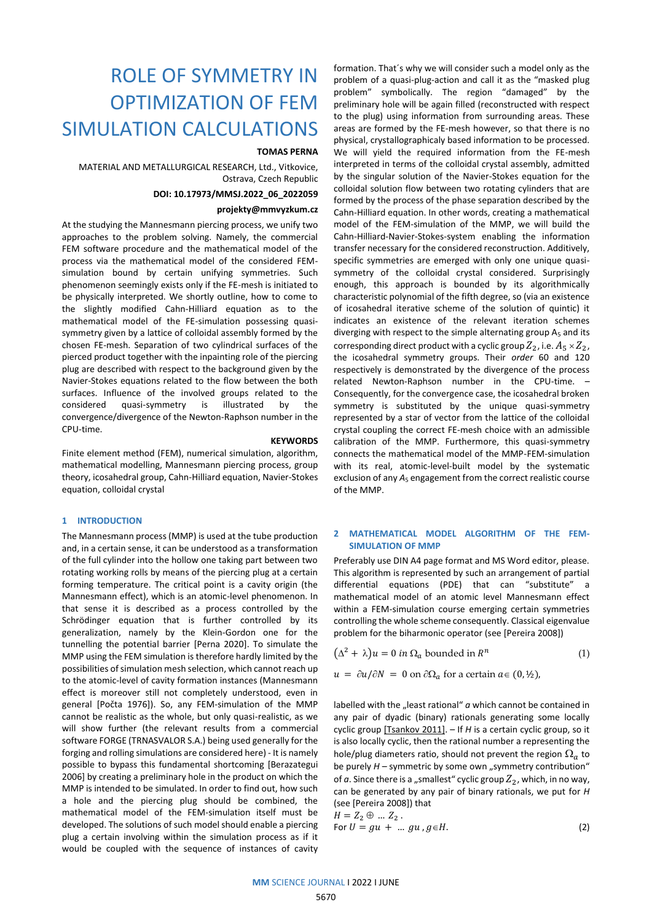# ROLE OF SYMMETRY IN OPTIMIZATION OF FEM SIMULATION CALCULATIONS

### **TOMAS PERNA**

MATERIAL AND METALLURGICAL RESEARCH, Ltd., Vitkovice, Ostrava, Czech Republic

#### **DOI: 10.17973/MMSJ.2022\_06\_2022059**

# **projekty@mmvyzkum.cz**

At the studying the Mannesmann piercing process, we unify two approaches to the problem solving. Namely, the commercial FEM software procedure and the mathematical model of the process via the mathematical model of the considered FEMsimulation bound by certain unifying symmetries. Such phenomenon seemingly exists only if the FE-mesh is initiated to be physically interpreted. We shortly outline, how to come to the slightly modified Cahn-Hilliard equation as to the mathematical model of the FE-simulation possessing quasisymmetry given by a lattice of colloidal assembly formed by the chosen FE-mesh. Separation of two cylindrical surfaces of the pierced product together with the inpainting role of the piercing plug are described with respect to the background given by the Navier-Stokes equations related to the flow between the both surfaces. Influence of the involved groups related to the considered quasi-symmetry is illustrated by the convergence/divergence of the Newton-Raphson number in the CPU-time.

**KEYWORDS** Finite element method (FEM), numerical simulation, algorithm, mathematical modelling, Mannesmann piercing process, group theory, icosahedral group, Cahn-Hilliard equation, Navier-Stokes equation, colloidal crystal

#### **1 INTRODUCTION**

The Mannesmann process (MMP) is used at the tube production and, in a certain sense, it can be understood as a transformation of the full cylinder into the hollow one taking part between two rotating working rolls by means of the piercing plug at a certain forming temperature. The critical point is a cavity origin (the Mannesmann effect), which is an atomic-level phenomenon. In that sense it is described as a process controlled by the Schrödinger equation that is further controlled by its generalization, namely by the Klein-Gordon one for the tunnelling the potential barrier [Perna 2020]. To simulate the MMP using the FEM simulation is therefore hardly limited by the possibilities of simulation mesh selection, which cannot reach up to the atomic-level of cavity formation instances (Mannesmann effect is moreover still not completely understood, even in general [Počta 1976]). So, any FEM-simulation of the MMP cannot be realistic as the whole, but only quasi-realistic, as we will show further (the relevant results from a commercial software FORGE (TRNASVALOR S.A.) being used generally for the forging and rolling simulations are considered here) - It is namely possible to bypass this fundamental shortcoming [Berazategui 2006] by creating a preliminary hole in the product on which the MMP is intended to be simulated. In order to find out, how such a hole and the piercing plug should be combined, the mathematical model of the FEM-simulation itself must be developed. The solutions of such model should enable a piercing plug a certain involving within the simulation process as if it would be coupled with the sequence of instances of cavity

formation. That´s why we will consider such a model only as the problem of a quasi-plug-action and call it as the "masked plug problem" symbolically. The region "damaged" by the preliminary hole will be again filled (reconstructed with respect to the plug) using information from surrounding areas. These areas are formed by the FE-mesh however, so that there is no physical, crystallographicaly based information to be processed. We will yield the required information from the FE-mesh interpreted in terms of the colloidal crystal assembly, admitted by the singular solution of the Navier-Stokes equation for the colloidal solution flow between two rotating cylinders that are formed by the process of the phase separation described by the Cahn-Hilliard equation. In other words, creating a mathematical model of the FEM-simulation of the MMP, we will build the Cahn-Hilliard-Navier-Stokes-system enabling the information transfer necessary for the considered reconstruction. Additively, specific symmetries are emerged with only one unique quasisymmetry of the colloidal crystal considered. Surprisingly enough, this approach is bounded by its algorithmically characteristic polynomial of the fifth degree, so (via an existence of icosahedral iterative scheme of the solution of quintic) it indicates an existence of the relevant iteration schemes diverging with respect to the simple alternating group  $A_5$  and its corresponding direct product with a cyclic group  $Z_2$ , i.e.  $A_5 \times Z_2$ , the icosahedral symmetry groups. Their *order* 60 and 120 respectively is demonstrated by the divergence of the process related Newton-Raphson number in the CPU-time. Consequently, for the convergence case, the icosahedral broken symmetry is substituted by the unique quasi-symmetry represented by a star of vector from the lattice of the colloidal crystal coupling the correct FE-mesh choice with an admissible calibration of the MMP. Furthermore, this quasi-symmetry connects the mathematical model of the MMP-FEM-simulation with its real, atomic-level-built model by the systematic exclusion of any A<sub>5</sub> engagement from the correct realistic course of the MMP.

### **2 MATHEMATICAL MODEL ALGORITHM OF THE FEM-SIMULATION OF MMP**

Preferably use DIN A4 page format and MS Word editor, please. This algorithm is represented by such an arrangement of partial differential equations (PDE) that can "substitute" a mathematical model of an atomic level Mannesmann effect within a FEM-simulation course emerging certain symmetries controlling the whole scheme consequently. Classical eigenvalue problem for the biharmonic operator (see [Pereira 2008])

$$
(\Delta^2 + \lambda)u = 0 \text{ in } \Omega_a \text{ bounded in } R^n
$$
 (1)

$$
u = \partial u / \partial N = 0 \text{ on } \partial \Omega_a \text{ for a certain } a \in (0, 1/2),
$$

labelled with the "least rational" *a* which cannot be contained in any pair of dyadic (binary) rationals generating some locally cyclic group [Tsankov 2011]. – If *H* is a certain cyclic group, so it is also locally cyclic, then the rational number a representing the hole/plug diameters ratio, should not prevent the region  $\Omega_a$  to be purely *H* – symmetric by some own "symmetry contribution" of  $a$ . Since there is a "smallest" cyclic group  $Z_2$ , which, in no way, can be generated by any pair of binary rationals, we put for *H* (see [Pereira 2008]) that  $H = Z_2 \oplus ... Z_2$ 

$$
F - \frac{1}{2} \mathcal{L} \mathcal{L} \mathcal{L}
$$
  
For  $U = gu + \dots gu, g \in H$ . (2)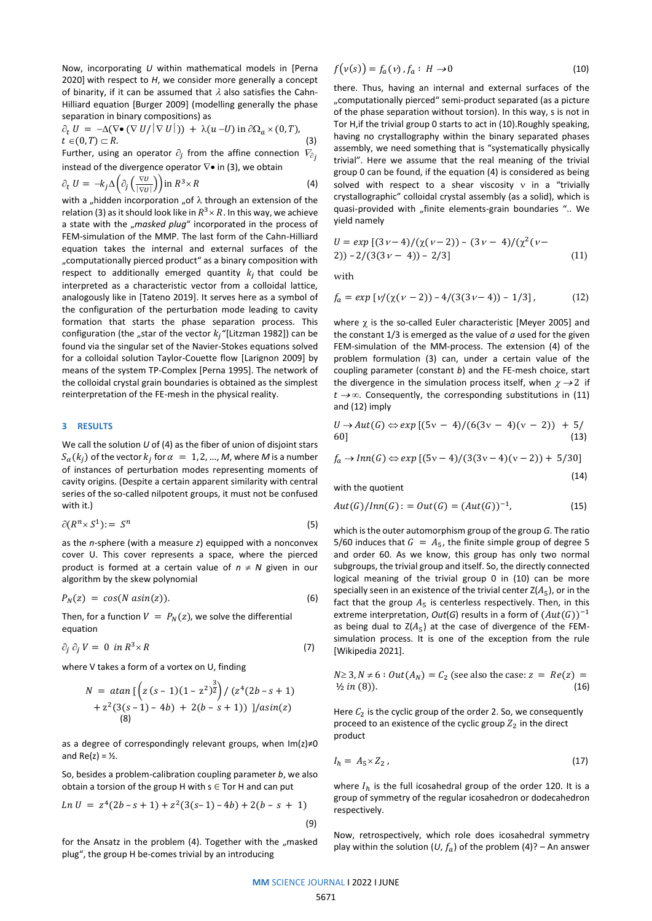Now, incorporating *U* within mathematical models in [Perna 2020] with respect to *H*, we consider more generally a concept of binarity, if it can be assumed that  $\lambda$  also satisfies the Cahn-Hilliard equation [Burger 2009] (modelling generally the phase separation in binary compositions) as

$$
\partial_t U = -\Delta(\nabla \bullet (\nabla U/|\nabla U|)) + \lambda(u-U) \text{ in } \partial\Omega_a \times (0,T),
$$
  

$$
t \in (0,T) \subset R.
$$
 (3)

Further, using an operator  $\partial_j$  from the affine connection  $V_{\partial_j}$ instead of the divergence operator  $\nabla \bullet$  in (3), we obtain

$$
\partial_t U = -k_j \Delta \left( \partial_j \left( \frac{\nabla U}{|\nabla U|} \right) \right) \text{ in } R^3 \times R \tag{4}
$$

with a "hidden incorporation "of  $\lambda$  through an extension of the relation (3) as it should look like in  $R^3 \times R$ . In this way, we achieve a state with the "masked plug" incorporated in the process of FEM-simulation of the MMP. The last form of the Cahn-Hilliard equation takes the internal and external surfaces of the "computationally pierced product" as a binary composition with respect to additionally emerged quantity  $k_j$  that could be interpreted as a characteristic vector from a colloidal lattice, analogously like in [Tateno 2019]. It serves here as a symbol of the configuration of the perturbation mode leading to cavity formation that starts the phase separation process. This configuration (the "star of the vector  $k_i$  "[Litzman 1982]) can be found via the singular set of the Navier-Stokes equations solved for a colloidal solution Taylor-Couette flow [Larignon 2009] by means of the system TP-Complex [Perna 1995]. The network of the colloidal crystal grain boundaries is obtained as the simplest reinterpretation of the FE-mesh in the physical reality.

### **3 RESULTS**

We call the solution *U* of (4) as the fiber of union of disjoint stars  $S_{\alpha}(k_j)$  of the vector  $k_j$  for  $\alpha = 1, 2, ..., M$ , where M is a number of instances of perturbation modes representing moments of cavity origins. (Despite a certain apparent similarity with central series of the so-called nilpotent groups, it must not be confused with it.)

$$
\partial(R^n \times S^1) := S^n \tag{5}
$$

as the *n*-sphere (with a measure *z*) equipped with a nonconvex cover U. This cover represents a space, where the pierced product is formed at a certain value of  $n \neq N$  given in our algorithm by the skew polynomial

$$
P_N(z) = \cos(N \, \text{asin}(z)). \tag{6}
$$

Then, for a function  $V = P_N(z)$ , we solve the differential equation

$$
\partial_j \partial_j V = 0 \text{ in } R^3 \times R \tag{7}
$$

where V takes a form of a vortex on U, finding

$$
N = \underset{8}{\text{atan } \left[ \left( z \left( s - 1 \right) \left( 1 - z^2 \right) \right)^{\frac{3}{2}} \right) / \left( z^4 \left( 2b - s + 1 \right) + z^2 \left( 3(s - 1) - 4b \right) + 2(b - s + 1) \right) \frac{1}{\text{asin}(z)}}
$$
\n
$$
N = \underset{8}{\text{span}(z)} \frac{1}{2} \left( \frac{1}{2} \right)
$$

as a degree of correspondingly relevant groups, when Im(z)≠0 and  $Re(z) = \frac{1}{2}$ .

So, besides a problem-calibration coupling parameter *b*, we also obtain a torsion of the group H with  $s \in$  Tor H and can put

$$
Ln U = z4(2b - s + 1) + z2(3(s-1) - 4b) + 2(b - s + 1)
$$
\n(9)

for the Ansatz in the problem (4). Together with the "masked plug", the group H be-comes trivial by an introducing

$$
f(v(s)) = f_a(v), f_a: H \to 0
$$
\n(10)

there. Thus, having an internal and external surfaces of the "computationally pierced" semi-product separated (as a picture of the phase separation without torsion). In this way, s is not in Tor H,if the trivial group 0 starts to act in (10).Roughly speaking, having no crystallography within the binary separated phases assembly, we need something that is "systematically physically trivial". Here we assume that the real meaning of the trivial group 0 can be found, if the equation (4) is considered as being solved with respect to a shear viscosity  $v$  in a "trivially crystallographic" colloidal crystal assembly (as a solid), which is quasi-provided with "finite elements-grain boundaries ".. We yield namely

$$
U = exp [(3v-4)/(\chi(v-2)) - (3v-4)/(\chi^2(v-2)) - 2/(3(3v-4)) - 2/3]
$$
\n(11)

with

$$
f_a = exp [v/(\chi(v-2)) - 4/(3(3v-4)) - 1/3], \qquad (12)
$$

where  $\gamma$  is the so-called Euler characteristic [Mever 2005] and the constant 1/3 is emerged as the value of *a* used for the given FEM-simulation of the MM-process. The extension (4) of the problem formulation (3) can, under a certain value of the coupling parameter (constant *b*) and the FE-mesh choice, start the divergence in the simulation process itself, when  $\chi \rightarrow 2$  if  $t\rightarrow\infty$ . Consequently, the corresponding substitutions in (11) and (12) imply

$$
U \to Aut(G) \Leftrightarrow exp [(5v - 4)/(6(3v - 4)(v - 2)) + 5/(6(3v - 4)(v - 2)) + 5/(13))
$$

$$
f_a \to Inn(G) \Leftrightarrow exp [(5v-4)/(3(3v-4)(v-2)) + 5/30]
$$

(14)

with the quotient

$$
Aut(G)/Inn(G) := Out(G) = (Aut(G))^{-1},
$$
\n(15)

which is the outer automorphism group of the group *G*. The ratio 5/60 induces that  $G = A_5$ , the finite simple group of degree 5 and order 60. As we know, this group has only two normal subgroups, the trivial group and itself. So, the directly connected logical meaning of the trivial group 0 in (10) can be more specially seen in an existence of the trivial center  $Z(A_5)$ , or in the fact that the group  $A_5$  is centerless respectively. Then, in this extreme interpretation,  $Out(G)$  results in a form of  $(Aut(G))^{-1}$ as being dual to  $Z(A_5)$  at the case of divergence of the FEMsimulation process. It is one of the exception from the rule [Wikipedia 2021].

$$
N \ge 3, N \ne 6 : Out(A_N) = C_2 \text{ (see also the case: } z = Re(z) = \frac{1}{2} in (8)). \tag{16}
$$

Here  $C_2$  is the cyclic group of the order 2. So, we consequently proceed to an existence of the cyclic group  $Z_2$  in the direct product

$$
I_h = A_5 \times Z_2 \tag{17}
$$

where  $I_h$  is the full icosahedral group of the order 120. It is a group of symmetry of the regular icosahedron or dodecahedron respectively.

Now, retrospectively, which role does icosahedral symmetry play within the solution (*U*,  $f_a$ ) of the problem (4)? – An answer

**MM** SCIENCE JOURNAL I 2022 I JUNE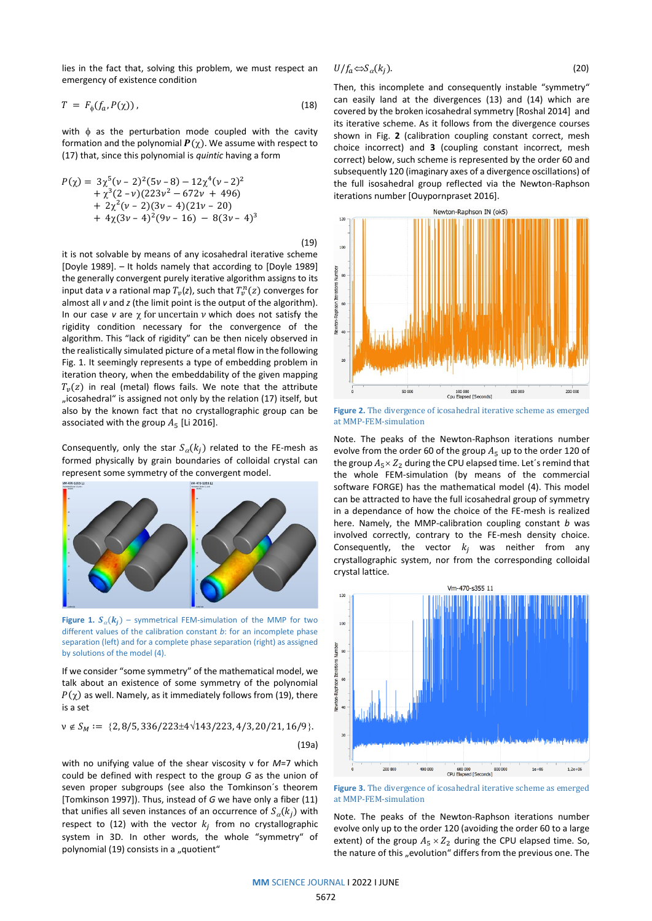lies in the fact that, solving this problem, we must respect an emergency of existence condition

$$
T = F_{\phi}(f_a, P(\chi)) \tag{18}
$$

with  $\phi$  as the perturbation mode coupled with the cavity formation and the polynomial  $P(\chi)$ . We assume with respect to (17) that, since this polynomial is *quintic* having a form

$$
P(\chi) = 3\chi^{5}(\nu - 2)^{2}(5\nu - 8) - 12\chi^{4}(\nu - 2)^{2}
$$
  
+  $\chi^{3}(2 - \nu)(223\nu^{2} - 672\nu + 496)$   
+  $2\chi^{2}(\nu - 2)(3\nu - 4)(21\nu - 20)$   
+  $4\chi(3\nu - 4)^{2}(9\nu - 16) - 8(3\nu - 4)^{3}$ 

(19)

it is not solvable by means of any icosahedral iterative scheme [Doyle 1989]. – It holds namely that according to [Doyle 1989] the generally convergent purely iterative algorithm assigns to its input data *v* a rational map  $T_v(z)$ , such that  $T_v^n(z)$  converges for almost all *v* and *z* (the limit point is the output of the algorithm). In our case  $v$  are  $\chi$  for uncertain  $v$  which does not satisfy the rigidity condition necessary for the convergence of the algorithm. This "lack of rigidity" can be then nicely observed in the realistically simulated picture of a metal flow in the following Fig. 1. It seemingly represents a type of embedding problem in iteration theory, when the embeddability of the given mapping  $T_n(z)$  in real (metal) flows fails. We note that the attribute "icosahedral" is assigned not only by the relation (17) itself, but also by the known fact that no crystallographic group can be associated with the group  $A_5$  [Li 2016].

Consequently, only the star  $S_{\alpha}(k_i)$  related to the FE-mesh as formed physically by grain boundaries of colloidal crystal can represent some symmetry of the convergent model.



**Figure 1.**  $S_{\alpha}(k_j)$  – symmetrical FEM-simulation of the MMP for two different values of the calibration constant *b*: for an incomplete phase separation (left) and for a complete phase separation (right) as assigned by solutions of the model (4).

If we consider "some symmetry" of the mathematical model, we talk about an existence of some symmetry of the polynomial  $P(\chi)$  as well. Namely, as it immediately follows from (19), there is a set

$$
v \notin S_M := \{2, 8/5, 336/223 \pm 4\sqrt{143/223}, 4/3, 20/21, 16/9\}.
$$
\n(19a)

with no unifying value of the shear viscosity ν for *M*=7 which could be defined with respect to the group *G* as the union of seven proper subgroups (see also the Tomkinson´s theorem [Tomkinson 1997]). Thus, instead of *G* we have only a fiber (11) that unifies all seven instances of an occurrence of  $S_{\alpha}(k_i)$  with respect to (12) with the vector  $k_j$  from no crystallographic system in 3D. In other words, the whole "symmetry" of polynomial (19) consists in a "quotient"

$$
U/f_a \Leftrightarrow S_\alpha(k_j). \tag{20}
$$

Then, this incomplete and consequently instable "symmetry" can easily land at the divergences (13) and (14) which are covered by the broken icosahedral symmetry [Roshal 2014] and its iterative scheme. As it follows from the divergence courses shown in Fig. **2** (calibration coupling constant correct, mesh choice incorrect) and **3** (coupling constant incorrect, mesh correct) below, such scheme is represented by the order 60 and subsequently 120 (imaginary axes of a divergence oscillations) of the full isosahedral group reflected via the Newton-Raphson iterations number [Ouypornpraset 2016].



**Figure 2.** The divergence of icosahedral iterative scheme as emerged at MMP-FEM-simulation

Note. The peaks of the Newton-Raphson iterations number evolve from the order 60 of the group  $A_5$  up to the order 120 of the group  $A_5 \times Z_2$  during the CPU elapsed time. Let's remind that the whole FEM-simulation (by means of the commercial software FORGE) has the mathematical model (4). This model can be attracted to have the full icosahedral group of symmetry in a dependance of how the choice of the FE-mesh is realized here. Namely, the MMP-calibration coupling constant *b* was involved correctly, contrary to the FE-mesh density choice. Consequently, the vector  $k_j$  was neither from any crystallographic system, nor from the corresponding colloidal crystal lattice.



**Figure 3.** The divergence of icosahedral iterative scheme as emerged at MMP-FEM-simulation

Note. The peaks of the Newton-Raphson iterations number evolve only up to the order 120 (avoiding the order 60 to a large extent) of the group  $A_5 \times Z_2$  during the CPU elapsed time. So, the nature of this "evolution" differs from the previous one. The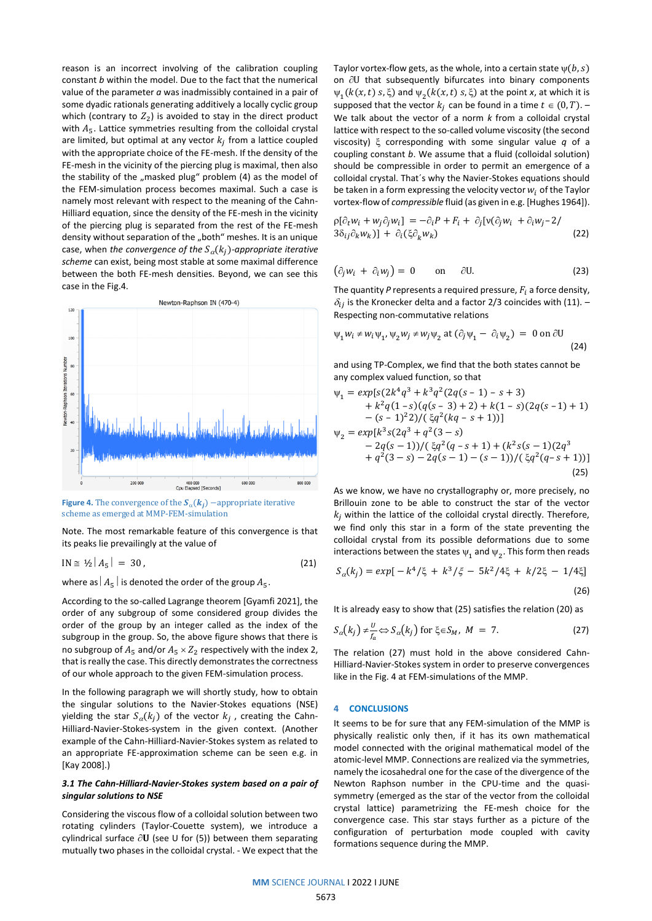reason is an incorrect involving of the calibration coupling constant *b* within the model. Due to the fact that the numerical value of the parameter *a* was inadmissibly contained in a pair of some dyadic rationals generating additively a locally cyclic group which (contrary to  $Z_2$ ) is avoided to stay in the direct product with  $A_5$ . Lattice symmetries resulting from the colloidal crystal are limited, but optimal at any vector  $k_j$  from a lattice coupled with the appropriate choice of the FE-mesh. If the density of the FE-mesh in the vicinity of the piercing plug is maximal, then also the stability of the "masked plug" problem  $(4)$  as the model of the FEM-simulation process becomes maximal. Such a case is namely most relevant with respect to the meaning of the Cahn-Hilliard equation, since the density of the FE-mesh in the vicinity of the piercing plug is separated from the rest of the FE-mesh density without separation of the "both" meshes. It is an unique case, when *the convergence of the*  $S_\alpha(k_j)$ -appropriate iterative *scheme* can exist, being most stable at some maximal difference between the both FE-mesh densities. Beyond, we can see this case in the Fig.4.



**Figure 4.** The convergence of the  $S_\alpha(k_j)$  –appropriate iterative scheme as emerged at MMP-FEM-simulation

Note. The most remarkable feature of this convergence is that its peaks lie prevailingly at the value of

$$
IN \cong 1/2 |A_5| = 30, \tag{21}
$$

where as  $|A_5|$  is denoted the order of the group  $A_5$ .

According to the so-called Lagrange theorem [Gyamfi 2021], the order of any subgroup of some considered group divides the order of the group by an integer called as the index of the subgroup in the group. So, the above figure shows that there is no subgroup of  $A_5$  and/or  $A_5 \times Z_2$  respectively with the index 2, that is really the case. This directly demonstrates the correctness of our whole approach to the given FEM-simulation process.

In the following paragraph we will shortly study, how to obtain the singular solutions to the Navier-Stokes equations (NSE) yielding the star  $S_{\alpha}(k_j)$  of the vector  $k_j$  , creating the Cahn-Hilliard-Navier-Stokes-system in the given context. (Another example of the Cahn-Hilliard-Navier-Stokes system as related to an appropriate FE-approximation scheme can be seen e.g. in [Kay 2008].)

#### *3.1 The Cahn-Hilliard-Navier-Stokes system based on a pair of singular solutions to NSE*

Considering the viscous flow of a colloidal solution between two rotating cylinders (Taylor-Couette system), we introduce a cylindrical surface  $\partial$ **U** (see U for (5)) between them separating mutually two phases in the colloidal crystal. - We expect that the Taylor vortex-flow gets, as the whole, into a certain state  $\psi(b, s)$ on  $\partial U$  that subsequently bifurcates into binary components  $\psi_1(k(x,t) \text{ s}, \xi)$  and  $\psi_2(k(x,t) \text{ s}, \xi)$  at the point *x*, at which it is supposed that the vector  $k_i$  can be found in a time  $t \in (0, T)$ . – We talk about the vector of a norm *k* from a colloidal crystal lattice with respect to the so-called volume viscosity (the second viscosity) corresponding with some singular value *q* of a coupling constant *b*. We assume that a fluid (colloidal solution) should be compressible in order to permit an emergence of a colloidal crystal. That´s why the Navier-Stokes equations should be taken in a form expressing the velocity vector  $w_i$  of the Taylor vortex-flow of *compressible* fluid (as given in e.g. [Hughes 1964]).

$$
\rho[\partial_t w_i + w_j \partial_j w_i] = -\partial_i P + F_i + \partial_j [\nu(\partial_j w_i + \partial_i w_j - 2 / \n3\delta_{ij} \partial_k w_k)] + \partial_i (\xi \partial_k w_k)
$$
\n(22)

$$
(\partial_j w_i + \partial_i w_j) = 0 \qquad \text{on} \qquad \partial U. \tag{23}
$$

The quantity  $P$  represents a required pressure,  $F_i$  a force density,  $\delta_{ij}$  is the Kronecker delta and a factor 2/3 coincides with (11). – Respecting non-commutative relations

$$
\psi_1 w_i \neq w_i \psi_1, \psi_2 w_j \neq w_j \psi_2 \text{ at } (\partial_j \psi_1 - \partial_i \psi_2) = 0 \text{ on } \partial U
$$
\n(24)

and using TP-Complex, we find that the both states cannot be any complex valued function, so that

$$
\Psi_1 = exp[s(2k^4q^3 + k^3q^2(2q(s-1) - s + 3) \n+ k^2q(1-s)(q(s-3) + 2) + k(1-s)(2q(s-1) + 1) \n- (s-1)^22)/(\xi q^2(kq - s + 1))]
$$
\n
$$
\Psi_2 = exp[k^3s(2q^3 + q^2(3 - s) \n- 2q(s-1))/(\xi q^2(q - s + 1) + (k^2s(s-1)(2q^3) \n+ q^2(3 - s) - 2q(s-1) - (s-1))/(\xi q^2(q - s + 1))]
$$
\n(25)

As we know, we have no crystallography or, more precisely, no Brillouin zone to be able to construct the star of the vector  $k_i$  within the lattice of the colloidal crystal directly. Therefore, we find only this star in a form of the state preventing the colloidal crystal from its possible deformations due to some interactions between the states  $\psi_1$  and  $\psi_2$ . This form then reads

$$
S_{\alpha}(k_j) = exp[-k^4/\xi + k^3/\xi - 5k^2/4\xi + k/2\xi - 1/4\xi]
$$
\n(26)

It is already easy to show that (25) satisfies the relation (20) as

$$
S_{\alpha}(k_j) \neq \frac{v}{f_a} \Leftrightarrow S_{\alpha}(k_j) \text{ for } \xi \in S_M, M = 7. \tag{27}
$$

The relation (27) must hold in the above considered Cahn-Hilliard-Navier-Stokes system in order to preserve convergences like in the Fig. 4 at FEM-simulations of the MMP.

#### **4 CONCLUSIONS**

It seems to be for sure that any FEM-simulation of the MMP is physically realistic only then, if it has its own mathematical model connected with the original mathematical model of the atomic-level MMP. Connections are realized via the symmetries, namely the icosahedral one for the case of the divergence of the Newton Raphson number in the CPU-time and the quasisymmetry (emerged as the star of the vector from the colloidal crystal lattice) parametrizing the FE-mesh choice for the convergence case. This star stays further as a picture of the configuration of perturbation mode coupled with cavity formations sequence during the MMP.

**MM** SCIENCE JOURNAL I 2022 I JUNE